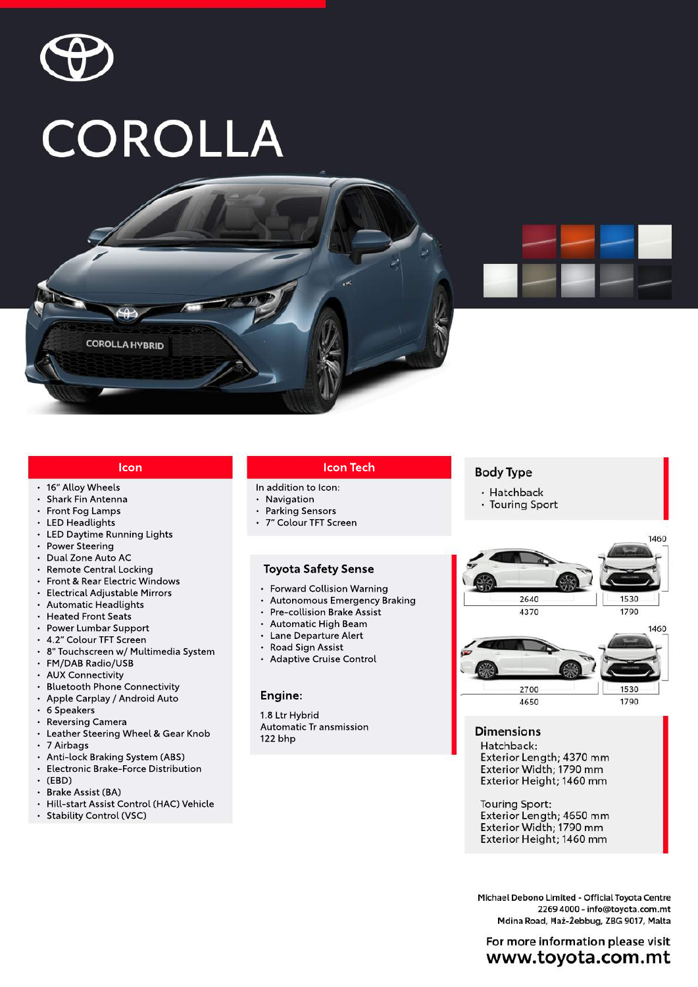

# **COROLLA**



# **Icon**

**COROLLA HYBRID** 

- 16" Alloy Wheels
- Shark Fin Antenna
- Front Fog Lamps
- LED Headlights
- LED Daytime Running Lights
- Power Steering
- Dual Zone Auto AC
- Remote Central Locking
- Front & Rear Electric Windows
- Electrical Adjustable Mirrors
- Automatic Headlights
- Heated Front Seats
- Power Lumbar Support
- 4.2" Colour TFT Screen
- 8" Touchscreen w/ Multimedia System
- FM/DAB Radio/USB
- AUX Connectivity
- Bluetooth Phone Connectivity
- Apple Carplay / Android Auto
- •6Speakers
- Reversing Camera
- Leather Steering Wheel & Gear Knob
- •7Airbags
- Anti-lock Braking System (ABS)
- Electronic Brake-Force Distribution
- •(EBD)
- Brake Assist (BA)
- Hill-start Assist Control (HAC) Vehicle
- Stability Control (VSC)

### **IconTech**

- In addition to Icon:
- Navigation
- Parking Sensors
- 7" Colour TFT Screen

#### **Toyota Safety Sense**

- Forward Collision Warning
- Autonomous Emergency Braking
- Pre-collision Brake Assist
- Automatic High Beam
- Lane Departure Alert
- Road Sign Assist
- Adaptive Cruise Control

# **Engine:**

1.8 Ltr Hybrid Automatic Tr ansmission 122bhp

# **Body Type**

- · Hatchback
- Touring Sport



## **Dimensions**

Hatchback: Exterior Length; 4370 mm Exterior Width; 1790 mm Exterior Height; 1460 mm

**Touring Sport:** Exterior Length; 4650 mm Exterior Width; 1790 mm Exterior Height; 1460 mm

Michael Debono Limited - Official Toyota Centre 2269 4000 - info@toyota.com.mt Mdina Road, Haż-Żebbug, ZBG 9017, Malta

For more information please visit www.toyota.com.mt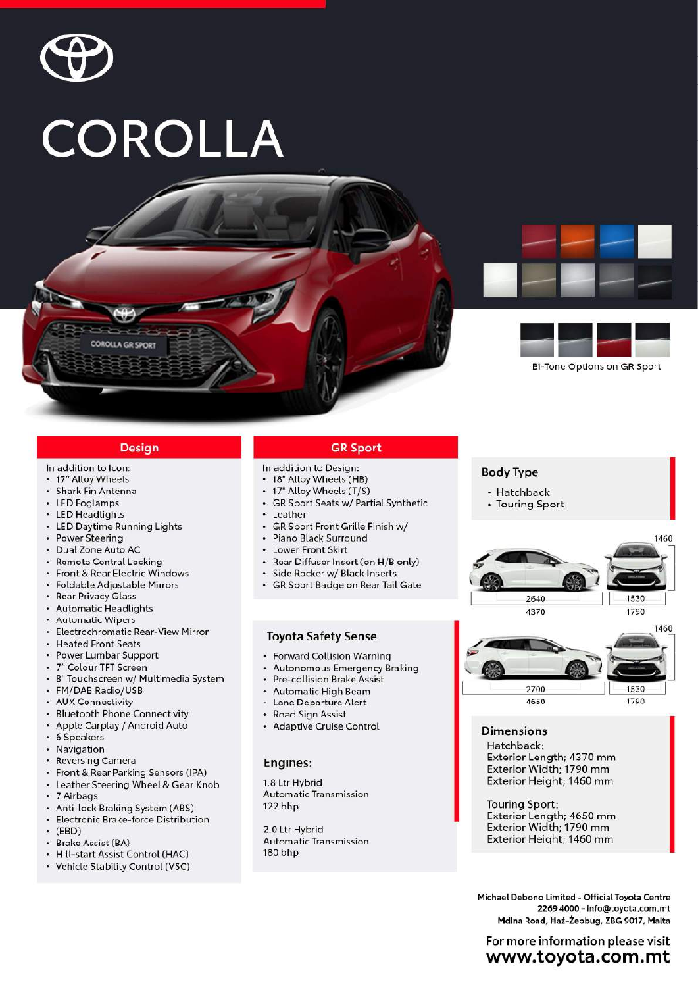

# COROLLA







**Bi-Tone Options on GR Sport** 

#### **Design**

#### In addition to Icon:

- 17" Alloy Wheels
- · Shark Fin Antenna
- LED Foglamps
- LED Headlights
- LED Daytime Running Lights
- Power Steering
- · Dual Zone Auto AC
- · Remote Central Locking
- Front & Rear Electric Windows
- Foldable Adjustable Mirrors
- Rear Privacy Glass
- Automatic Headlights
- Automatic Wipers
- ¥ Electrochromatic Rear-View Mirror
- Heated Front Seats
- Power Lumbar Support
- 7" Colour TFT Screen
- · 8" Touchscreen w/ Multimedia System
- FM/DAB Radio/USB
- · AUX Connectivity
- Bluetooth Phone Connectivity
- Apple Carplay / Android Auto
- 6 Speakers  $\ddot{\phantom{0}}$
- Navigation
- Reversing Camera
- Front & Rear Parking Sensors (IPA)
- Leather Steering Wheel & Gear Knob
- 7 Airbags
- Anti-lock Braking System (ABS)
- Electronic Brake-force Distribution
- $\cdot$  (FRD)
- **Brake Assist (BA)**
- Hill-start Assist Control (HAC)
- Vehicle Stability Control (VSC)

#### **GR Sport**

- In addition to Design:
- 18" Alloy Wheels (HB)
- 17" Alloy Wheels (T/S)
- GR Sport Seats w/ Partial Synthetic
- Leather
- $\bullet$ GR Sport Front Grille Finish w/
- Piano Black Surround
- Lower Front Skirt
- Rear Diffuser Insert (on H/B only) ¥.
- Side Rocker w/ Black Inserts ¥.
- GR Sport Badge on Rear Tail Gate

#### **Toyota Safety Sense**

- Forward Collision Warning
- 
- **Autonomous Emergency Braking**
- Pre-collision Brake Assist
- **Automatic High Beam**
- Lane Departure Alert
- Road Sign Assist
- Adaptive Cruise Control

#### Engines:

1.8 Ltr Hybrid **Automatic Transmission** 122 bhp

2.0 Ltr Hybrid **Automatic Transmission** 180 bhp

# **Body Type**

- Hatchback
- Touring Sport





# **Dimensions**

Hatchback: Exterior Length; 4370 mm Exterior Width; 1790 mm Exterior Height; 1460 mm

**Touring Sport:** Exterior Length; 4650 mm Exterior Width; 1790 mm Exterior Height; 1460 mm

Michael Debono Limited - Official Toyota Centre 2269 4000 - info@toyota.com.mt Mdina Road, Haż-Żebbug, ZBG 9017, Malta

# For more information please visit www.toyota.com.mt